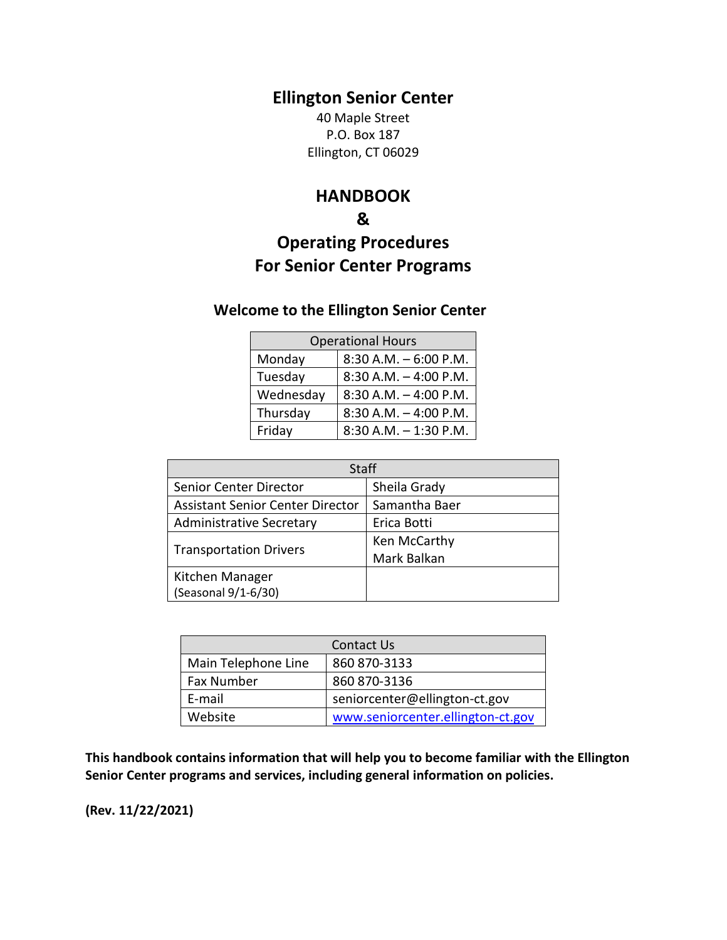# **Ellington Senior Center**

40 Maple Street P.O. Box 187 Ellington, CT 06029

## **HANDBOOK**

## **&**

# **Operating Procedures For Senior Center Programs**

# **Welcome to the Ellington Senior Center**

| <b>Operational Hours</b> |                          |  |
|--------------------------|--------------------------|--|
| Monday                   | $8:30$ A.M. $-6:00$ P.M. |  |
| Tuesday                  | $8:30$ A.M. $-4:00$ P.M. |  |
| Wednesday                | $8:30$ A.M. $-4:00$ P.M. |  |
| Thursday                 | $8:30$ A.M. $-4:00$ P.M. |  |
| Friday                   | $8:30$ A.M. $-1:30$ P.M. |  |

| Staff                                   |               |  |
|-----------------------------------------|---------------|--|
| Senior Center Director                  | Sheila Grady  |  |
| <b>Assistant Senior Center Director</b> | Samantha Baer |  |
| <b>Administrative Secretary</b>         | Erica Botti   |  |
| <b>Transportation Drivers</b>           | Ken McCarthy  |  |
|                                         | Mark Balkan   |  |
| Kitchen Manager                         |               |  |
| (Seasonal 9/1-6/30)                     |               |  |

| Contact Us          |                                   |
|---------------------|-----------------------------------|
| Main Telephone Line | 860 870-3133                      |
| Fax Number          | 860 870-3136                      |
| E-mail              | seniorcenter@ellington-ct.gov     |
| Website             | www.seniorcenter.ellington-ct.gov |

**This handbook contains information that will help you to become familiar with the Ellington Senior Center programs and services, including general information on policies.**

**(Rev. 11/22/2021)**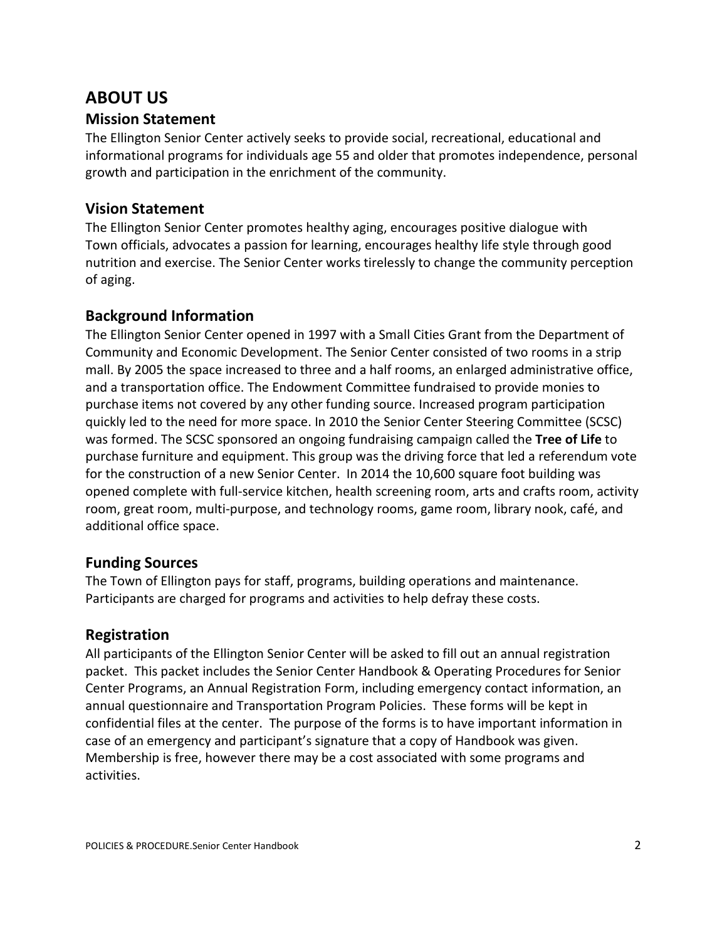# **ABOUT US**

### **Mission Statement**

The Ellington Senior Center actively seeks to provide social, recreational, educational and informational programs for individuals age 55 and older that promotes independence, personal growth and participation in the enrichment of the community.

### **Vision Statement**

The Ellington Senior Center promotes healthy aging, encourages positive dialogue with Town officials, advocates a passion for learning, encourages healthy life style through good nutrition and exercise. The Senior Center works tirelessly to change the community perception of aging.

### **Background Information**

The Ellington Senior Center opened in 1997 with a Small Cities Grant from the Department of Community and Economic Development. The Senior Center consisted of two rooms in a strip mall. By 2005 the space increased to three and a half rooms, an enlarged administrative office, and a transportation office. The Endowment Committee fundraised to provide monies to purchase items not covered by any other funding source. Increased program participation quickly led to the need for more space. In 2010 the Senior Center Steering Committee (SCSC) was formed. The SCSC sponsored an ongoing fundraising campaign called the **Tree of Life** to purchase furniture and equipment. This group was the driving force that led a referendum vote for the construction of a new Senior Center. In 2014 the 10,600 square foot building was opened complete with full-service kitchen, health screening room, arts and crafts room, activity room, great room, multi-purpose, and technology rooms, game room, library nook, café, and additional office space.

### **Funding Sources**

The Town of Ellington pays for staff, programs, building operations and maintenance. Participants are charged for programs and activities to help defray these costs.

## **Registration**

All participants of the Ellington Senior Center will be asked to fill out an annual registration packet. This packet includes the Senior Center Handbook & Operating Procedures for Senior Center Programs, an Annual Registration Form, including emergency contact information, an annual questionnaire and Transportation Program Policies. These forms will be kept in confidential files at the center. The purpose of the forms is to have important information in case of an emergency and participant's signature that a copy of Handbook was given. Membership is free, however there may be a cost associated with some programs and activities.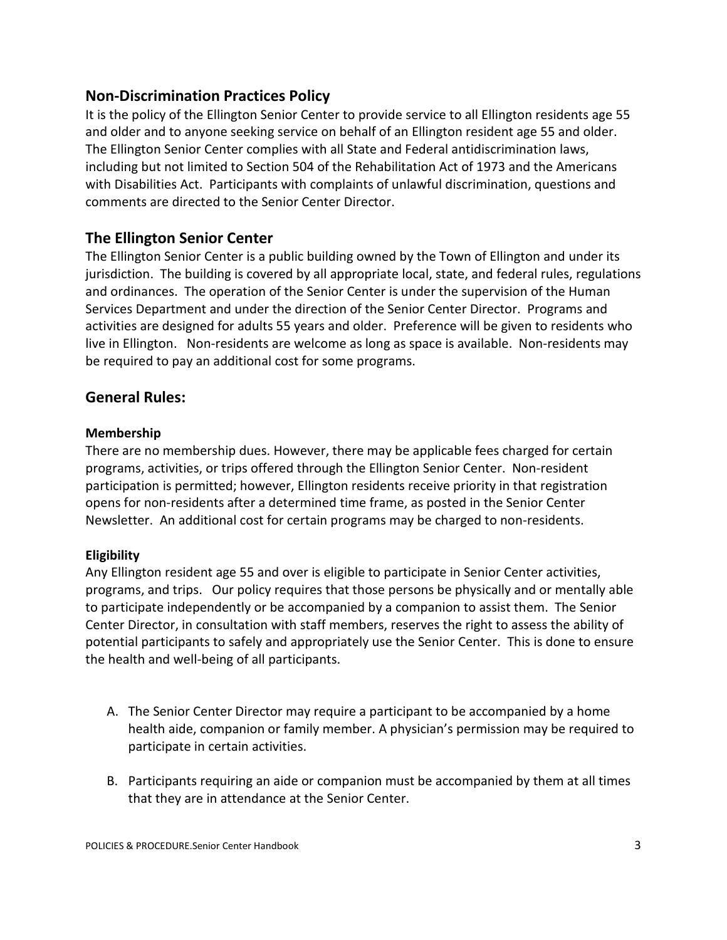### **Non-Discrimination Practices Policy**

It is the policy of the Ellington Senior Center to provide service to all Ellington residents age 55 and older and to anyone seeking service on behalf of an Ellington resident age 55 and older. The Ellington Senior Center complies with all State and Federal antidiscrimination laws, including but not limited to Section 504 of the Rehabilitation Act of 1973 and the Americans with Disabilities Act. Participants with complaints of unlawful discrimination, questions and comments are directed to the Senior Center Director.

### **The Ellington Senior Center**

The Ellington Senior Center is a public building owned by the Town of Ellington and under its jurisdiction. The building is covered by all appropriate local, state, and federal rules, regulations and ordinances. The operation of the Senior Center is under the supervision of the Human Services Department and under the direction of the Senior Center Director. Programs and activities are designed for adults 55 years and older. Preference will be given to residents who live in Ellington. Non-residents are welcome as long as space is available. Non-residents may be required to pay an additional cost for some programs.

#### **General Rules:**

#### **Membership**

There are no membership dues. However, there may be applicable fees charged for certain programs, activities, or trips offered through the Ellington Senior Center. Non-resident participation is permitted; however, Ellington residents receive priority in that registration opens for non-residents after a determined time frame, as posted in the Senior Center Newsletter. An additional cost for certain programs may be charged to non-residents.

#### **Eligibility**

Any Ellington resident age 55 and over is eligible to participate in Senior Center activities, programs, and trips. Our policy requires that those persons be physically and or mentally able to participate independently or be accompanied by a companion to assist them. The Senior Center Director, in consultation with staff members, reserves the right to assess the ability of potential participants to safely and appropriately use the Senior Center. This is done to ensure the health and well-being of all participants.

- A. The Senior Center Director may require a participant to be accompanied by a home health aide, companion or family member. A physician's permission may be required to participate in certain activities.
- B. Participants requiring an aide or companion must be accompanied by them at all times that they are in attendance at the Senior Center.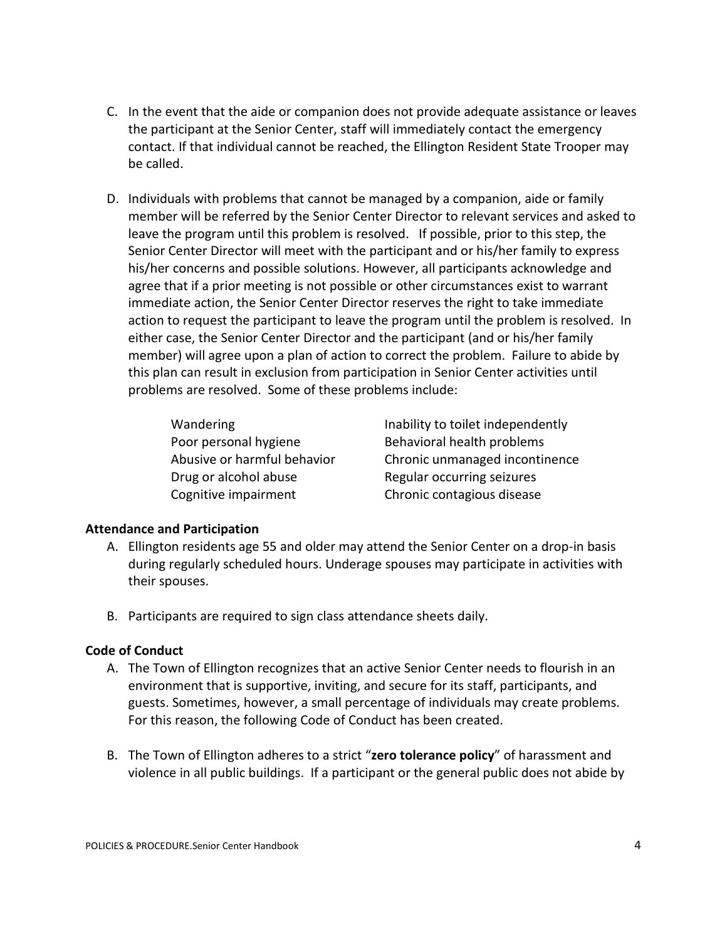- C. In the event that the aide or companion does not provide adequate assistance or leaves the participant at the Senior Center, staff will immediately contact the emergency contact. If that individual cannot be reached, the Ellington Resident State Trooper may be called.
- D. Individuals with problems that cannot be managed by a companion, aide or family member will be referred by the Senior Center Director to relevant services and asked to leave the program until this problem is resolved. If possible, prior to this step, the Senior Center Director will meet with the participant and or his/her family to express his/her concerns and possible solutions. However, all participants acknowledge and agree that if a prior meeting is not possible or other circumstances exist to warrant immediate action, the Senior Center Director reserves the right to take immediate action to request the participant to leave the program until the problem is resolved. In either case, the Senior Center Director and the participant (and or his/her family member) will agree upon a plan of action to correct the problem. Failure to abide by this plan can result in exclusion from participation in Senior Center activities until problems are resolved. Some of these problems include:

Poor personal hygiene Behavioral health problems Drug or alcohol abuse Regular occurring seizures

Wandering **Inability to toilet independently** Abusive or harmful behavior Chronic unmanaged incontinence Cognitive impairment Chronic contagious disease

#### **Attendance and Participation**

- A. Ellington residents age 55 and older may attend the Senior Center on a drop-in basis during regularly scheduled hours. Underage spouses may participate in activities with their spouses.
- B. Participants are required to sign class attendance sheets daily.

#### **Code of Conduct**

- A. The Town of Ellington recognizes that an active Senior Center needs to flourish in an environment that is supportive, inviting, and secure for its staff, participants, and guests. Sometimes, however, a small percentage of individuals may create problems. For this reason, the following Code of Conduct has been created.
- B. The Town of Ellington adheres to a strict "**zero tolerance policy**" of harassment and violence in all public buildings. If a participant or the general public does not abide by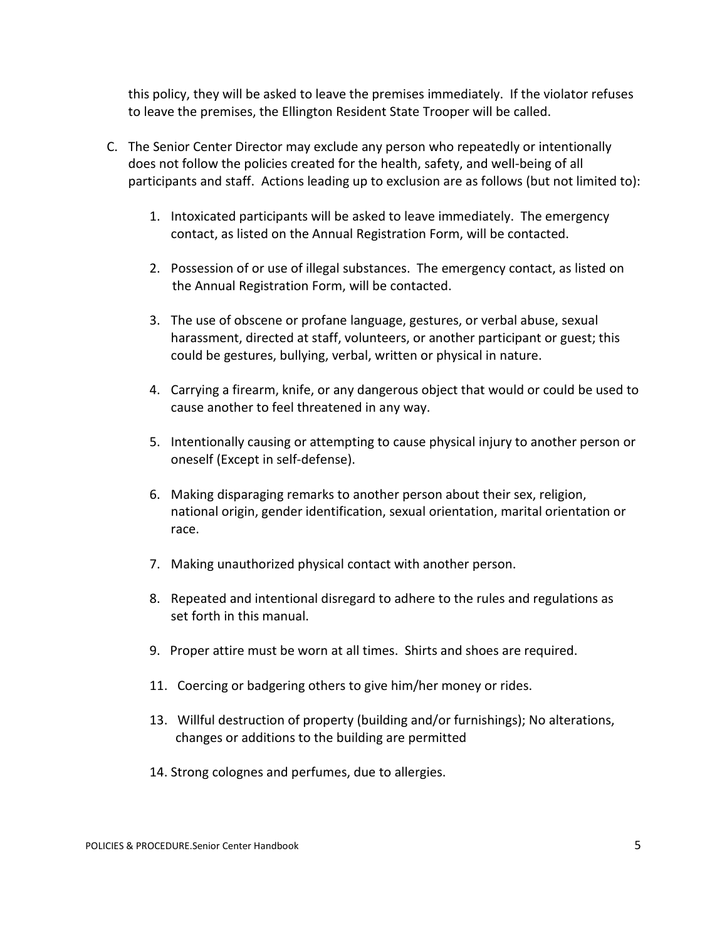this policy, they will be asked to leave the premises immediately. If the violator refuses to leave the premises, the Ellington Resident State Trooper will be called.

- C. The Senior Center Director may exclude any person who repeatedly or intentionally does not follow the policies created for the health, safety, and well-being of all participants and staff. Actions leading up to exclusion are as follows (but not limited to):
	- 1. Intoxicated participants will be asked to leave immediately. The emergency contact, as listed on the Annual Registration Form, will be contacted.
	- 2. Possession of or use of illegal substances. The emergency contact, as listed on the Annual Registration Form, will be contacted.
	- 3. The use of obscene or profane language, gestures, or verbal abuse, sexual harassment, directed at staff, volunteers, or another participant or guest; this could be gestures, bullying, verbal, written or physical in nature.
	- 4. Carrying a firearm, knife, or any dangerous object that would or could be used to cause another to feel threatened in any way.
	- 5. Intentionally causing or attempting to cause physical injury to another person or oneself (Except in self-defense).
	- 6. Making disparaging remarks to another person about their sex, religion, national origin, gender identification, sexual orientation, marital orientation or race.
	- 7. Making unauthorized physical contact with another person.
	- 8. Repeated and intentional disregard to adhere to the rules and regulations as set forth in this manual.
	- 9. Proper attire must be worn at all times. Shirts and shoes are required.
	- 11. Coercing or badgering others to give him/her money or rides.
	- 13. Willful destruction of property (building and/or furnishings); No alterations, changes or additions to the building are permitted
	- 14. Strong colognes and perfumes, due to allergies.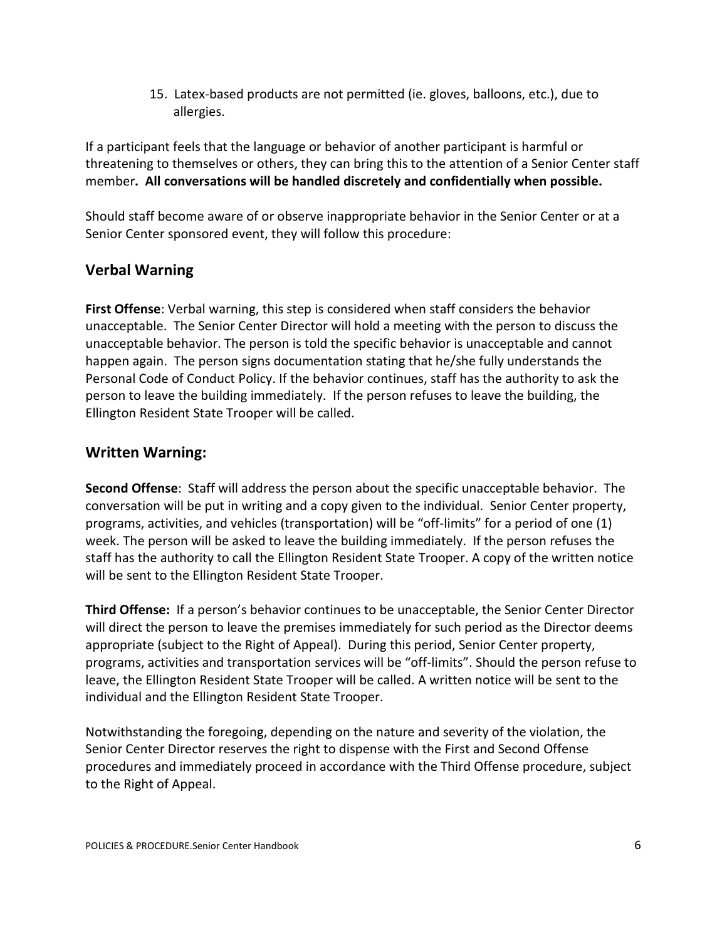15. Latex-based products are not permitted (ie. gloves, balloons, etc.), due to allergies.

If a participant feels that the language or behavior of another participant is harmful or threatening to themselves or others, they can bring this to the attention of a Senior Center staff member**. All conversations will be handled discretely and confidentially when possible.**

Should staff become aware of or observe inappropriate behavior in the Senior Center or at a Senior Center sponsored event, they will follow this procedure:

# **Verbal Warning**

**First Offense**: Verbal warning, this step is considered when staff considers the behavior unacceptable. The Senior Center Director will hold a meeting with the person to discuss the unacceptable behavior. The person is told the specific behavior is unacceptable and cannot happen again. The person signs documentation stating that he/she fully understands the Personal Code of Conduct Policy. If the behavior continues, staff has the authority to ask the person to leave the building immediately. If the person refuses to leave the building, the Ellington Resident State Trooper will be called.

## **Written Warning:**

**Second Offense**: Staff will address the person about the specific unacceptable behavior. The conversation will be put in writing and a copy given to the individual. Senior Center property, programs, activities, and vehicles (transportation) will be "off-limits" for a period of one (1) week. The person will be asked to leave the building immediately. If the person refuses the staff has the authority to call the Ellington Resident State Trooper. A copy of the written notice will be sent to the Ellington Resident State Trooper.

**Third Offense:** If a person's behavior continues to be unacceptable, the Senior Center Director will direct the person to leave the premises immediately for such period as the Director deems appropriate (subject to the Right of Appeal). During this period, Senior Center property, programs, activities and transportation services will be "off-limits". Should the person refuse to leave, the Ellington Resident State Trooper will be called. A written notice will be sent to the individual and the Ellington Resident State Trooper.

Notwithstanding the foregoing, depending on the nature and severity of the violation, the Senior Center Director reserves the right to dispense with the First and Second Offense procedures and immediately proceed in accordance with the Third Offense procedure, subject to the Right of Appeal.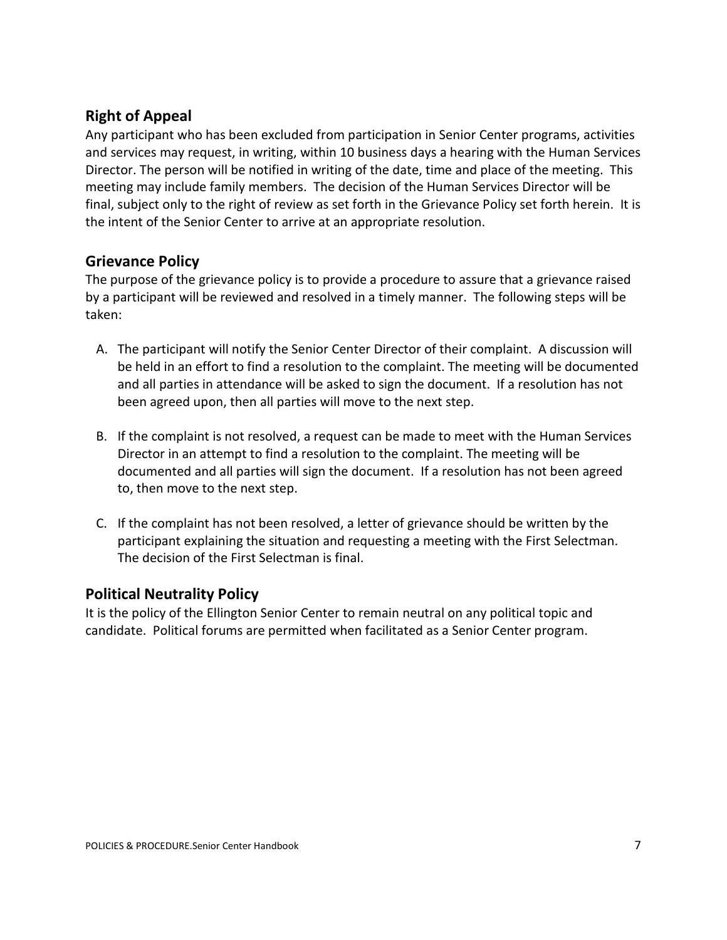## **Right of Appeal**

Any participant who has been excluded from participation in Senior Center programs, activities and services may request, in writing, within 10 business days a hearing with the Human Services Director. The person will be notified in writing of the date, time and place of the meeting. This meeting may include family members. The decision of the Human Services Director will be final, subject only to the right of review as set forth in the Grievance Policy set forth herein. It is the intent of the Senior Center to arrive at an appropriate resolution.

### **Grievance Policy**

The purpose of the grievance policy is to provide a procedure to assure that a grievance raised by a participant will be reviewed and resolved in a timely manner. The following steps will be taken:

- A. The participant will notify the Senior Center Director of their complaint. A discussion will be held in an effort to find a resolution to the complaint. The meeting will be documented and all parties in attendance will be asked to sign the document. If a resolution has not been agreed upon, then all parties will move to the next step.
- B. If the complaint is not resolved, a request can be made to meet with the Human Services Director in an attempt to find a resolution to the complaint. The meeting will be documented and all parties will sign the document. If a resolution has not been agreed to, then move to the next step.
- C. If the complaint has not been resolved, a letter of grievance should be written by the participant explaining the situation and requesting a meeting with the First Selectman. The decision of the First Selectman is final.

#### **Political Neutrality Policy**

It is the policy of the Ellington Senior Center to remain neutral on any political topic and candidate. Political forums are permitted when facilitated as a Senior Center program.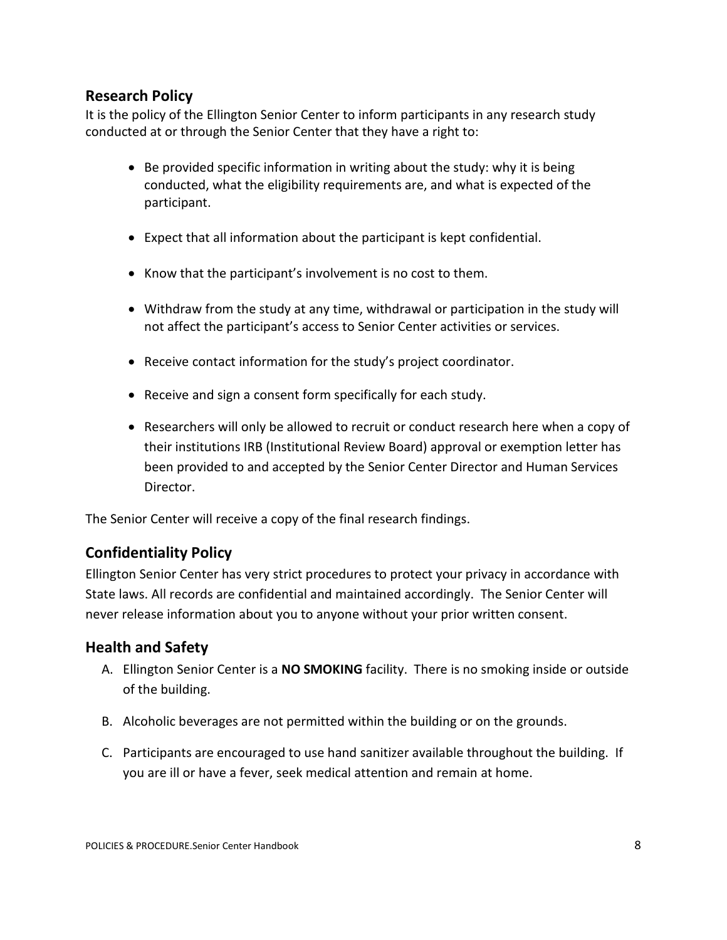### **Research Policy**

It is the policy of the Ellington Senior Center to inform participants in any research study conducted at or through the Senior Center that they have a right to:

- Be provided specific information in writing about the study: why it is being conducted, what the eligibility requirements are, and what is expected of the participant.
- Expect that all information about the participant is kept confidential.
- Know that the participant's involvement is no cost to them.
- Withdraw from the study at any time, withdrawal or participation in the study will not affect the participant's access to Senior Center activities or services.
- Receive contact information for the study's project coordinator.
- Receive and sign a consent form specifically for each study.
- Researchers will only be allowed to recruit or conduct research here when a copy of their institutions IRB (Institutional Review Board) approval or exemption letter has been provided to and accepted by the Senior Center Director and Human Services Director.

The Senior Center will receive a copy of the final research findings.

## **Confidentiality Policy**

Ellington Senior Center has very strict procedures to protect your privacy in accordance with State laws. All records are confidential and maintained accordingly. The Senior Center will never release information about you to anyone without your prior written consent.

### **Health and Safety**

- A. Ellington Senior Center is a **NO SMOKING** facility. There is no smoking inside or outside of the building.
- B. Alcoholic beverages are not permitted within the building or on the grounds.
- C. Participants are encouraged to use hand sanitizer available throughout the building. If you are ill or have a fever, seek medical attention and remain at home.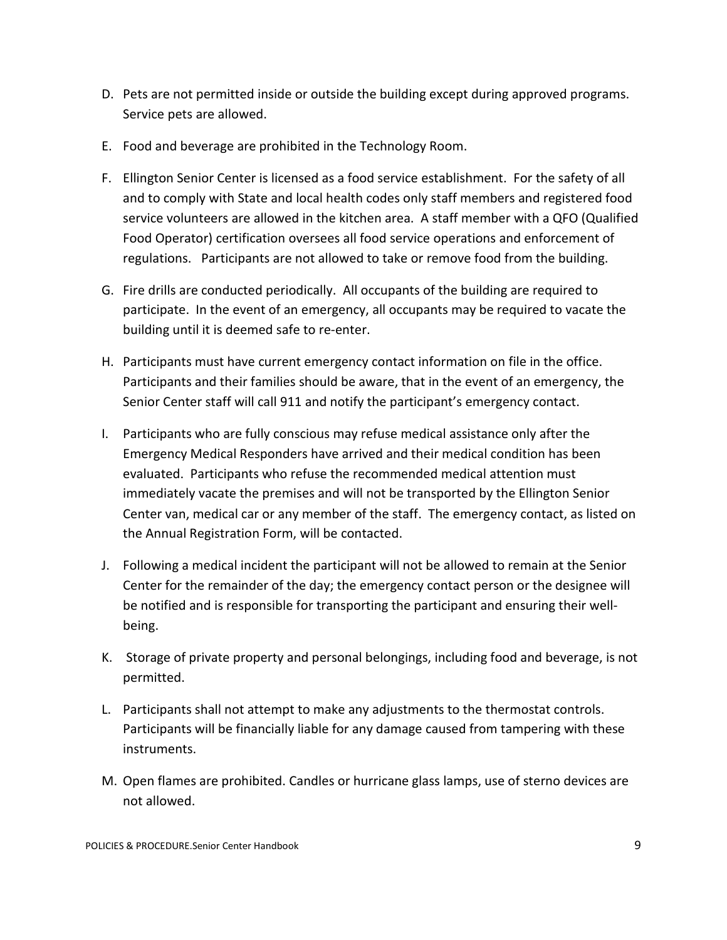- D. Pets are not permitted inside or outside the building except during approved programs. Service pets are allowed.
- E. Food and beverage are prohibited in the Technology Room.
- F. Ellington Senior Center is licensed as a food service establishment. For the safety of all and to comply with State and local health codes only staff members and registered food service volunteers are allowed in the kitchen area. A staff member with a QFO (Qualified Food Operator) certification oversees all food service operations and enforcement of regulations. Participants are not allowed to take or remove food from the building.
- G. Fire drills are conducted periodically. All occupants of the building are required to participate. In the event of an emergency, all occupants may be required to vacate the building until it is deemed safe to re-enter.
- H. Participants must have current emergency contact information on file in the office. Participants and their families should be aware, that in the event of an emergency, the Senior Center staff will call 911 and notify the participant's emergency contact.
- I. Participants who are fully conscious may refuse medical assistance only after the Emergency Medical Responders have arrived and their medical condition has been evaluated. Participants who refuse the recommended medical attention must immediately vacate the premises and will not be transported by the Ellington Senior Center van, medical car or any member of the staff. The emergency contact, as listed on the Annual Registration Form, will be contacted.
- J. Following a medical incident the participant will not be allowed to remain at the Senior Center for the remainder of the day; the emergency contact person or the designee will be notified and is responsible for transporting the participant and ensuring their wellbeing.
- K. Storage of private property and personal belongings, including food and beverage, is not permitted.
- L. Participants shall not attempt to make any adjustments to the thermostat controls. Participants will be financially liable for any damage caused from tampering with these instruments.
- M. Open flames are prohibited. Candles or hurricane glass lamps, use of sterno devices are not allowed.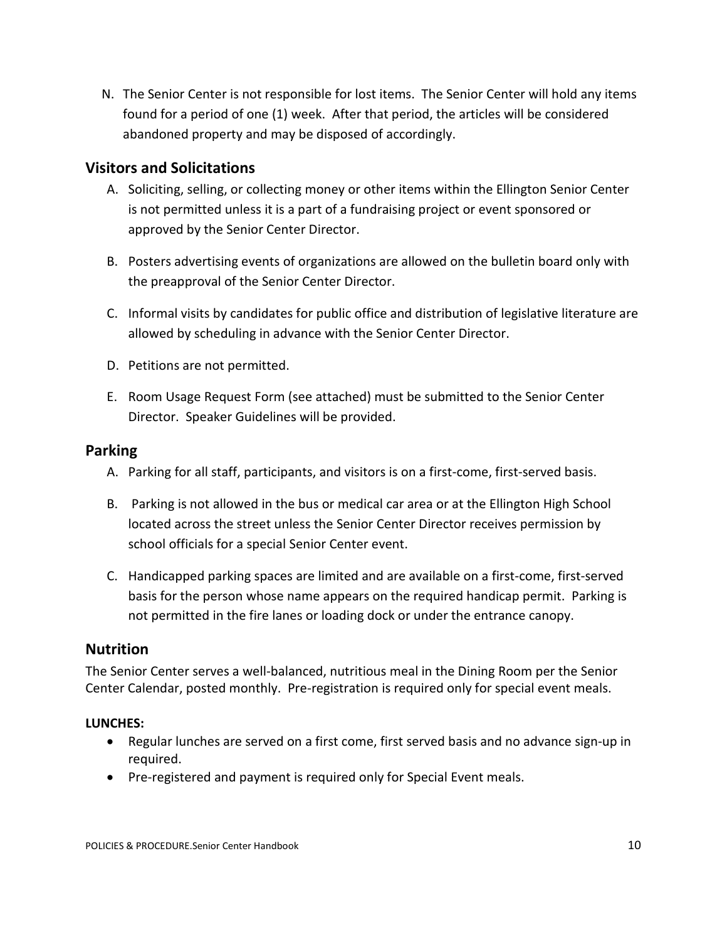N. The Senior Center is not responsible for lost items. The Senior Center will hold any items found for a period of one (1) week. After that period, the articles will be considered abandoned property and may be disposed of accordingly.

### **Visitors and Solicitations**

- A. Soliciting, selling, or collecting money or other items within the Ellington Senior Center is not permitted unless it is a part of a fundraising project or event sponsored or approved by the Senior Center Director.
- B. Posters advertising events of organizations are allowed on the bulletin board only with the preapproval of the Senior Center Director.
- C. Informal visits by candidates for public office and distribution of legislative literature are allowed by scheduling in advance with the Senior Center Director.
- D. Petitions are not permitted.
- E. Room Usage Request Form (see attached) must be submitted to the Senior Center Director. Speaker Guidelines will be provided.

#### **Parking**

- A. Parking for all staff, participants, and visitors is on a first-come, first-served basis.
- B. Parking is not allowed in the bus or medical car area or at the Ellington High School located across the street unless the Senior Center Director receives permission by school officials for a special Senior Center event.
- C. Handicapped parking spaces are limited and are available on a first-come, first-served basis for the person whose name appears on the required handicap permit. Parking is not permitted in the fire lanes or loading dock or under the entrance canopy.

#### **Nutrition**

The Senior Center serves a well-balanced, nutritious meal in the Dining Room per the Senior Center Calendar, posted monthly. Pre-registration is required only for special event meals.

#### **LUNCHES:**

- Regular lunches are served on a first come, first served basis and no advance sign-up in required.
- Pre-registered and payment is required only for Special Event meals.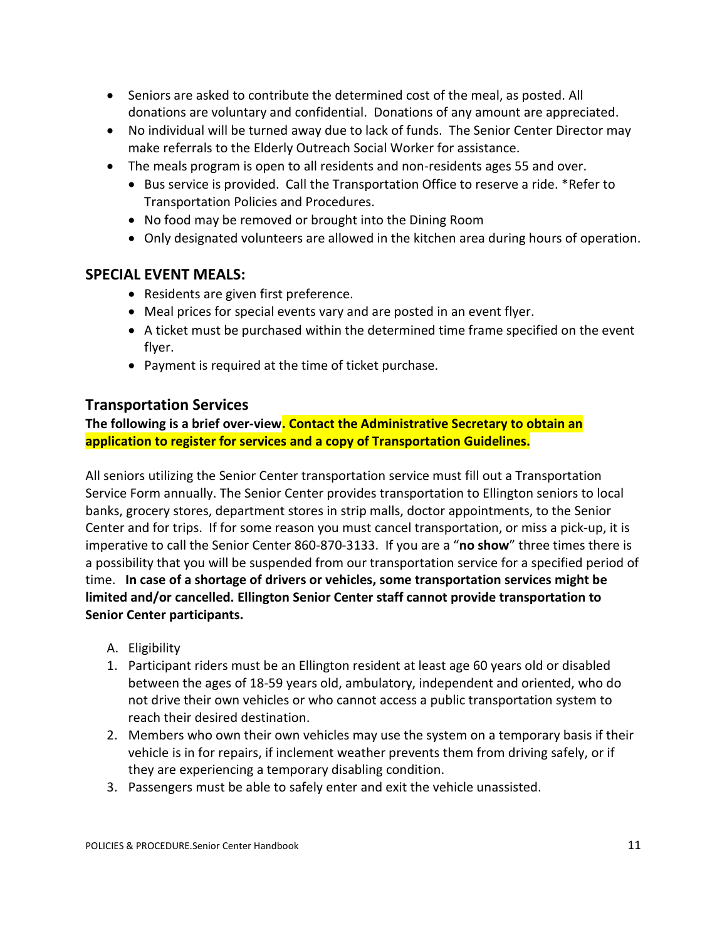- Seniors are asked to contribute the determined cost of the meal, as posted. All donations are voluntary and confidential. Donations of any amount are appreciated.
- No individual will be turned away due to lack of funds. The Senior Center Director may make referrals to the Elderly Outreach Social Worker for assistance.
- The meals program is open to all residents and non-residents ages 55 and over.
	- Bus service is provided. Call the Transportation Office to reserve a ride. \*Refer to Transportation Policies and Procedures.
	- No food may be removed or brought into the Dining Room
	- Only designated volunteers are allowed in the kitchen area during hours of operation.

#### **SPECIAL EVENT MEALS:**

- Residents are given first preference.
- Meal prices for special events vary and are posted in an event flyer.
- A ticket must be purchased within the determined time frame specified on the event flyer.
- Payment is required at the time of ticket purchase.

#### **Transportation Services**

**The following is a brief over-view. Contact the Administrative Secretary to obtain an application to register for services and a copy of Transportation Guidelines.**

All seniors utilizing the Senior Center transportation service must fill out a Transportation Service Form annually. The Senior Center provides transportation to Ellington seniors to local banks, grocery stores, department stores in strip malls, doctor appointments, to the Senior Center and for trips. If for some reason you must cancel transportation, or miss a pick-up, it is imperative to call the Senior Center 860-870-3133. If you are a "**no show**" three times there is a possibility that you will be suspended from our transportation service for a specified period of time. **In case of a shortage of drivers or vehicles, some transportation services might be limited and/or cancelled. Ellington Senior Center staff cannot provide transportation to Senior Center participants.** 

- A. Eligibility
- 1. Participant riders must be an Ellington resident at least age 60 years old or disabled between the ages of 18-59 years old, ambulatory, independent and oriented, who do not drive their own vehicles or who cannot access a public transportation system to reach their desired destination.
- 2. Members who own their own vehicles may use the system on a temporary basis if their vehicle is in for repairs, if inclement weather prevents them from driving safely, or if they are experiencing a temporary disabling condition.
- 3. Passengers must be able to safely enter and exit the vehicle unassisted.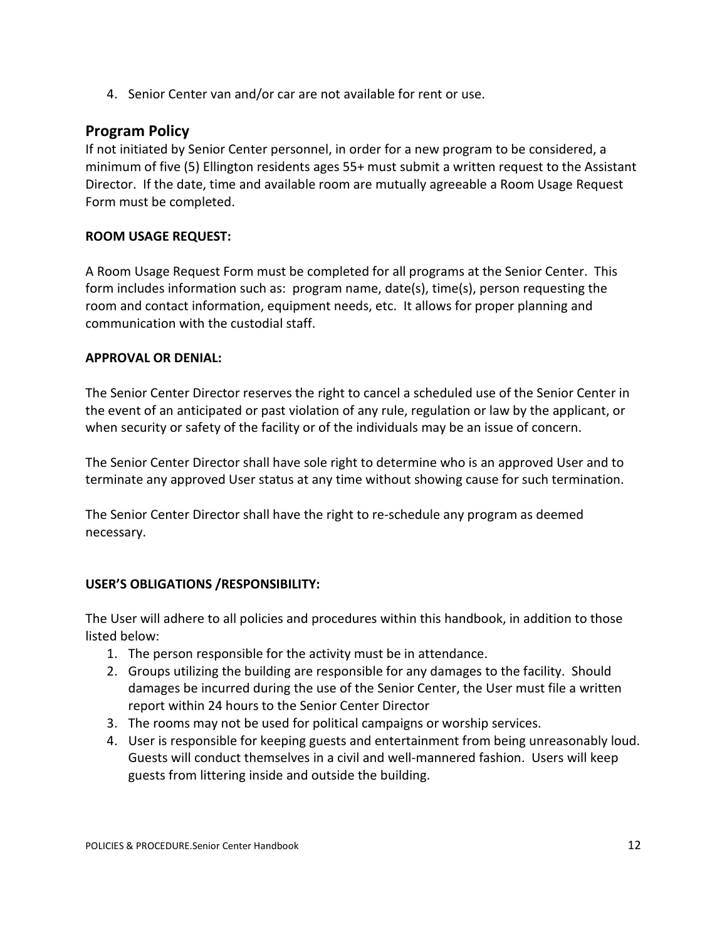4. Senior Center van and/or car are not available for rent or use.

#### **Program Policy**

If not initiated by Senior Center personnel, in order for a new program to be considered, a minimum of five (5) Ellington residents ages 55+ must submit a written request to the Assistant Director. If the date, time and available room are mutually agreeable a Room Usage Request Form must be completed.

#### **ROOM USAGE REQUEST:**

A Room Usage Request Form must be completed for all programs at the Senior Center. This form includes information such as: program name, date(s), time(s), person requesting the room and contact information, equipment needs, etc. It allows for proper planning and communication with the custodial staff.

#### **APPROVAL OR DENIAL:**

The Senior Center Director reserves the right to cancel a scheduled use of the Senior Center in the event of an anticipated or past violation of any rule, regulation or law by the applicant, or when security or safety of the facility or of the individuals may be an issue of concern.

The Senior Center Director shall have sole right to determine who is an approved User and to terminate any approved User status at any time without showing cause for such termination.

The Senior Center Director shall have the right to re-schedule any program as deemed necessary.

#### **USER'S OBLIGATIONS /RESPONSIBILITY:**

The User will adhere to all policies and procedures within this handbook, in addition to those listed below:

- 1. The person responsible for the activity must be in attendance.
- 2. Groups utilizing the building are responsible for any damages to the facility. Should damages be incurred during the use of the Senior Center, the User must file a written report within 24 hours to the Senior Center Director
- 3. The rooms may not be used for political campaigns or worship services.
- 4. User is responsible for keeping guests and entertainment from being unreasonably loud. Guests will conduct themselves in a civil and well-mannered fashion. Users will keep guests from littering inside and outside the building.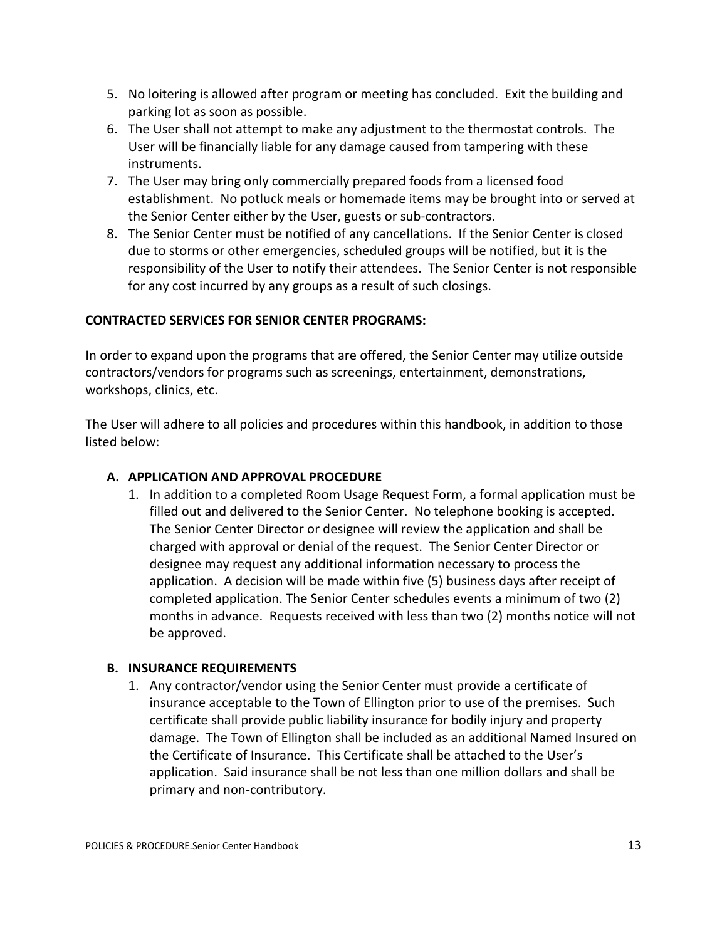- 5. No loitering is allowed after program or meeting has concluded. Exit the building and parking lot as soon as possible.
- 6. The User shall not attempt to make any adjustment to the thermostat controls. The User will be financially liable for any damage caused from tampering with these instruments.
- 7. The User may bring only commercially prepared foods from a licensed food establishment. No potluck meals or homemade items may be brought into or served at the Senior Center either by the User, guests or sub-contractors.
- 8. The Senior Center must be notified of any cancellations. If the Senior Center is closed due to storms or other emergencies, scheduled groups will be notified, but it is the responsibility of the User to notify their attendees. The Senior Center is not responsible for any cost incurred by any groups as a result of such closings.

#### **CONTRACTED SERVICES FOR SENIOR CENTER PROGRAMS:**

In order to expand upon the programs that are offered, the Senior Center may utilize outside contractors/vendors for programs such as screenings, entertainment, demonstrations, workshops, clinics, etc.

The User will adhere to all policies and procedures within this handbook, in addition to those listed below:

#### **A. APPLICATION AND APPROVAL PROCEDURE**

1. In addition to a completed Room Usage Request Form, a formal application must be filled out and delivered to the Senior Center. No telephone booking is accepted. The Senior Center Director or designee will review the application and shall be charged with approval or denial of the request. The Senior Center Director or designee may request any additional information necessary to process the application. A decision will be made within five (5) business days after receipt of completed application. The Senior Center schedules events a minimum of two (2) months in advance. Requests received with less than two (2) months notice will not be approved.

#### **B. INSURANCE REQUIREMENTS**

1. Any contractor/vendor using the Senior Center must provide a certificate of insurance acceptable to the Town of Ellington prior to use of the premises. Such certificate shall provide public liability insurance for bodily injury and property damage. The Town of Ellington shall be included as an additional Named Insured on the Certificate of Insurance. This Certificate shall be attached to the User's application. Said insurance shall be not less than one million dollars and shall be primary and non-contributory.